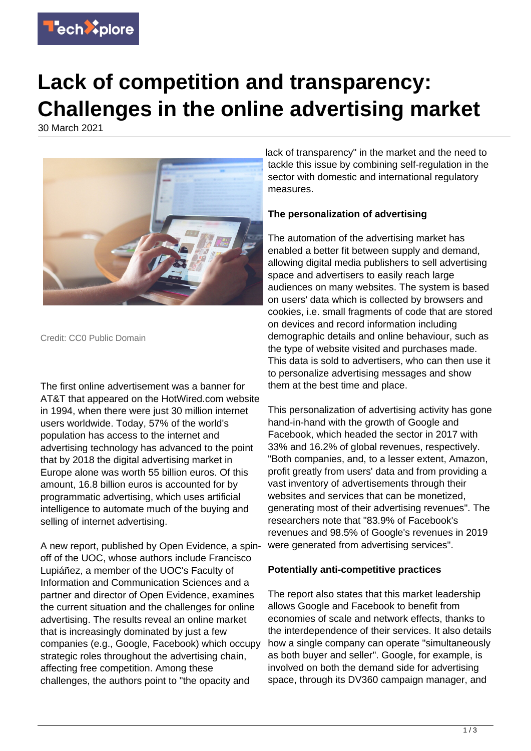

# **Lack of competition and transparency: Challenges in the online advertising market**

30 March 2021



Credit: CC0 Public Domain

The first online advertisement was a banner for AT&T that appeared on the HotWired.com website in 1994, when there were just 30 million internet users worldwide. Today, 57% of the world's population has access to the internet and advertising technology has advanced to the point that by 2018 the digital advertising market in Europe alone was worth 55 billion euros. Of this amount, 16.8 billion euros is accounted for by programmatic advertising, which uses artificial intelligence to automate much of the buying and selling of internet advertising.

A new report, published by Open Evidence, a spinoff of the UOC, whose authors include Francisco Lupiáñez, a member of the UOC's Faculty of Information and Communication Sciences and a partner and director of Open Evidence, examines the current situation and the challenges for online advertising. The results reveal an online market that is increasingly dominated by just a few companies (e.g., Google, Facebook) which occupy strategic roles throughout the advertising chain, affecting free competition. Among these challenges, the authors point to "the opacity and

lack of transparency" in the market and the need to tackle this issue by combining self-regulation in the sector with domestic and international regulatory measures.

## **The personalization of advertising**

The automation of the advertising market has enabled a better fit between supply and demand, allowing digital media publishers to sell advertising space and advertisers to easily reach large audiences on many websites. The system is based on users' data which is collected by browsers and cookies, i.e. small fragments of code that are stored on devices and record information including demographic details and online behaviour, such as the type of website visited and purchases made. This data is sold to advertisers, who can then use it to personalize advertising messages and show them at the best time and place.

This personalization of advertising activity has gone hand-in-hand with the growth of Google and Facebook, which headed the sector in 2017 with 33% and 16.2% of global revenues, respectively. "Both companies, and, to a lesser extent, Amazon, profit greatly from users' data and from providing a vast inventory of advertisements through their websites and services that can be monetized, generating most of their advertising revenues". The researchers note that "83.9% of Facebook's revenues and 98.5% of Google's revenues in 2019 were generated from advertising services".

#### **Potentially anti-competitive practices**

The report also states that this market leadership allows Google and Facebook to benefit from economies of scale and network effects, thanks to the interdependence of their services. It also details how a single company can operate "simultaneously as both buyer and seller". Google, for example, is involved on both the demand side for advertising space, through its DV360 campaign manager, and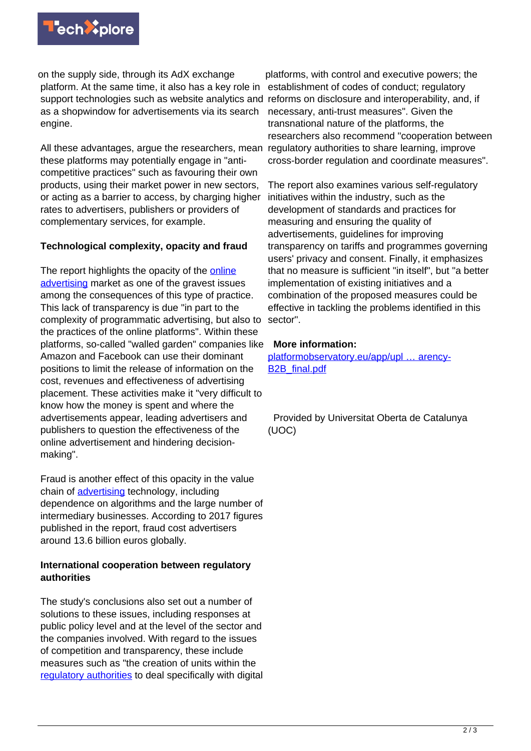

on the supply side, through its AdX exchange platform. At the same time, it also has a key role in support technologies such as website analytics and reforms on disclosure and interoperability, and, if as a shopwindow for advertisements via its search engine.

All these advantages, argue the researchers, mean these platforms may potentially engage in "anticompetitive practices" such as favouring their own products, using their market power in new sectors, or acting as a barrier to access, by charging higher rates to advertisers, publishers or providers of complementary services, for example.

### **Technological complexity, opacity and fraud**

The report highlights the opacity of the [online](https://techxplore.com/tags/online+advertising/) [advertising](https://techxplore.com/tags/online+advertising/) market as one of the gravest issues among the consequences of this type of practice. This lack of transparency is due "in part to the complexity of programmatic advertising, but also to the practices of the online platforms". Within these platforms, so-called "walled garden" companies like Amazon and Facebook can use their dominant positions to limit the release of information on the cost, revenues and effectiveness of advertising placement. These activities make it "very difficult to know how the money is spent and where the advertisements appear, leading advertisers and publishers to question the effectiveness of the online advertisement and hindering decisionmaking".

Fraud is another effect of this opacity in the value chain of [advertising](https://techxplore.com/tags/advertising/) technology, including dependence on algorithms and the large number of intermediary businesses. According to 2017 figures published in the report, fraud cost advertisers around 13.6 billion euros globally.

### **International cooperation between regulatory authorities**

The study's conclusions also set out a number of solutions to these issues, including responses at public policy level and at the level of the sector and the companies involved. With regard to the issues of competition and transparency, these include measures such as "the creation of units within the [regulatory authorities](https://techxplore.com/tags/regulatory+authorities/) to deal specifically with digital

platforms, with control and executive powers; the establishment of codes of conduct; regulatory necessary, anti-trust measures". Given the transnational nature of the platforms, the researchers also recommend "cooperation between regulatory authorities to share learning, improve cross-border regulation and coordinate measures".

The report also examines various self-regulatory initiatives within the industry, such as the development of standards and practices for measuring and ensuring the quality of advertisements, guidelines for improving transparency on tariffs and programmes governing users' privacy and consent. Finally, it emphasizes that no measure is sufficient "in itself", but "a better implementation of existing initiatives and a combination of the proposed measures could be effective in tackling the problems identified in this sector".

### **More information:**

[platformobservatory.eu/app/upl … arency-](https://platformobservatory.eu/app/uploads/2020/12/Annex-7.-Analytical-Paper-3-Ads-transparency-B2B_final.pdf)[B2B\\_final.pdf](https://platformobservatory.eu/app/uploads/2020/12/Annex-7.-Analytical-Paper-3-Ads-transparency-B2B_final.pdf)

 Provided by Universitat Oberta de Catalunya (UOC)